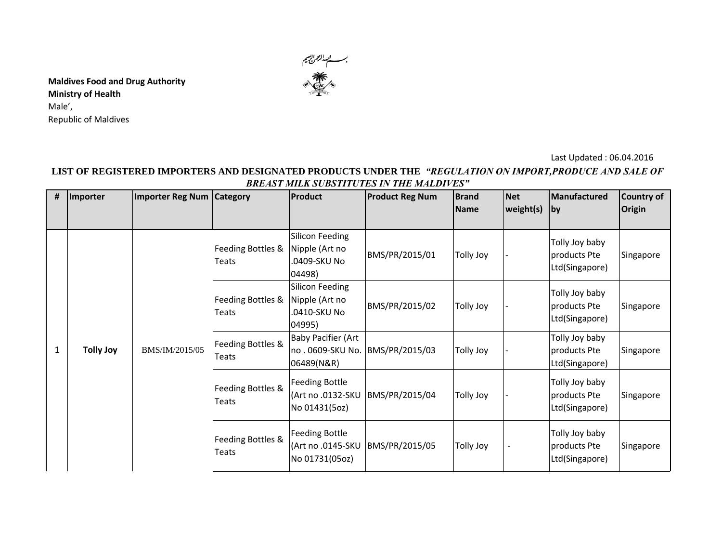

**Maldives Food and Drug Authority Ministry of Health**  Male', Republic of Maldives

## Last Updated : 06.04.2016

## **LIST OF REGISTERED IMPORTERS AND DESIGNATED PRODUCTS UNDER THE** *"REGULATION ON IMPORT,PRODUCE AND SALE OF BREAST MILK SUBSTITUTES IN THE MALDIVES"*

| # | Importer         | <b>Importer Reg Num   Category</b> |                            | <b>Product</b>                                                               | <b>Product Reg Num</b> | <b>Brand</b><br><b>Name</b> | <b>Net</b><br>weight(s)  | Manufactured<br> by                              | <b>Country of</b><br><b>Origin</b> |
|---|------------------|------------------------------------|----------------------------|------------------------------------------------------------------------------|------------------------|-----------------------------|--------------------------|--------------------------------------------------|------------------------------------|
| 1 | <b>Tolly Joy</b> | BMS/IM/2015/05                     | Feeding Bottles &<br>Teats | Silicon Feeding<br>Nipple (Art no<br>.0409-SKU No<br>04498)                  | BMS/PR/2015/01         | <b>Tolly Joy</b>            |                          | Tolly Joy baby<br>products Pte<br>Ltd(Singapore) | Singapore                          |
|   |                  |                                    | Feeding Bottles &<br>Teats | Silicon Feeding<br>Nipple (Art no<br>.0410-SKU No<br>04995)                  | BMS/PR/2015/02         | <b>Tolly Joy</b>            |                          | Tolly Joy baby<br>products Pte<br>Ltd(Singapore) | Singapore                          |
|   |                  |                                    | Feeding Bottles &<br>Teats | <b>Baby Pacifier (Art</b><br>no. 0609-SKU No.   BMS/PR/2015/03<br>06489(N&R) |                        | Tolly Joy                   |                          | Tolly Joy baby<br>products Pte<br>Ltd(Singapore) | Singapore                          |
|   |                  |                                    | Feeding Bottles &<br>Teats | <b>Feeding Bottle</b><br>(Art no .0132-SKU<br>No 01431(5oz)                  | BMS/PR/2015/04         | <b>Tolly Joy</b>            |                          | Tolly Joy baby<br>products Pte<br>Ltd(Singapore) | Singapore                          |
|   |                  |                                    | Feeding Bottles &<br>Teats | <b>Feeding Bottle</b><br>(Art no .0145-SKU<br>No 01731(05oz)                 | BMS/PR/2015/05         | <b>Tolly Joy</b>            | $\overline{\phantom{a}}$ | Tolly Joy baby<br>products Pte<br>Ltd(Singapore) | Singapore                          |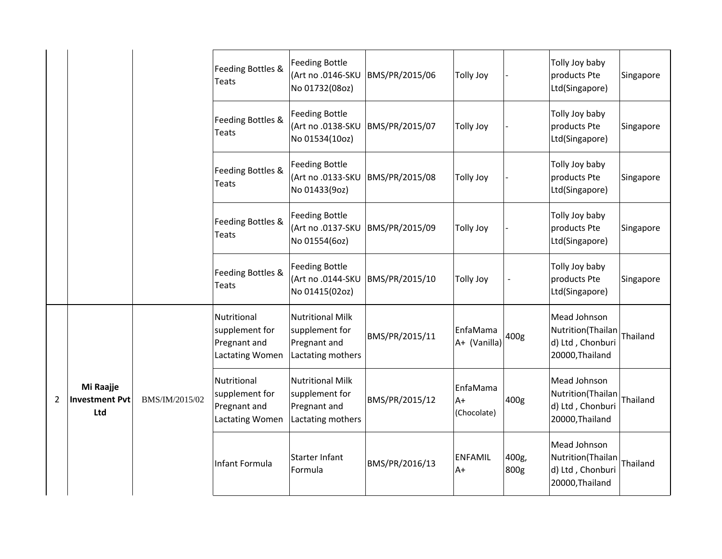|                |                                           |                | Feeding Bottles &<br><b>Teats</b>                                | <b>Feeding Bottle</b><br>(Art no .0146-SKU<br>No 01732(08oz)                   | BMS/PR/2015/06 | <b>Tolly Joy</b>                |               | Tolly Joy baby<br>products Pte<br>Ltd(Singapore)                         | Singapore |
|----------------|-------------------------------------------|----------------|------------------------------------------------------------------|--------------------------------------------------------------------------------|----------------|---------------------------------|---------------|--------------------------------------------------------------------------|-----------|
|                |                                           |                | Feeding Bottles &<br>Teats                                       | <b>Feeding Bottle</b><br>(Art no .0138-SKU<br>No 01534(10oz)                   | BMS/PR/2015/07 | <b>Tolly Joy</b>                |               | Tolly Joy baby<br>products Pte<br>Ltd(Singapore)                         | Singapore |
|                |                                           |                | Feeding Bottles &<br><b>Teats</b>                                | <b>Feeding Bottle</b><br>(Art no .0133-SKU<br>No 01433(9oz)                    | BMS/PR/2015/08 | <b>Tolly Joy</b>                |               | Tolly Joy baby<br>products Pte<br>Ltd(Singapore)                         | Singapore |
|                |                                           |                | Feeding Bottles &<br>Teats                                       | Feeding Bottle<br>(Art no .0137-SKU<br>No 01554(6oz)                           | BMS/PR/2015/09 | <b>Tolly Joy</b>                |               | Tolly Joy baby<br>products Pte<br>Ltd(Singapore)                         | Singapore |
|                |                                           |                | Feeding Bottles &<br>Teats                                       | <b>Feeding Bottle</b><br>(Art no .0144-SKU<br>No 01415(02oz)                   | BMS/PR/2015/10 | <b>Tolly Joy</b>                |               | Tolly Joy baby<br>products Pte<br>Ltd(Singapore)                         | Singapore |
|                |                                           |                | Nutritional<br>supplement for<br>Pregnant and<br>Lactating Women | <b>Nutritional Milk</b><br>supplement for<br>Pregnant and<br>Lactating mothers | BMS/PR/2015/11 | EnfaMama<br>A+ (Vanilla)        | 400g          | Mead Johnson<br>Nutrition(Thailan<br>d) Ltd, Chonburi<br>20000, Thailand | Thailand  |
| $\overline{2}$ | Mi Raajje<br><b>Investment Pvt</b><br>Ltd | BMS/IM/2015/02 | Nutritional<br>supplement for<br>Pregnant and<br>Lactating Women | Nutritional Milk<br>supplement for<br>Pregnant and<br>Lactating mothers        | BMS/PR/2015/12 | EnfaMama<br>$A+$<br>(Chocolate) | 400g          | Mead Johnson<br>Nutrition(Thailan<br>d) Ltd, Chonburi<br>20000, Thailand | Thailand  |
|                |                                           |                | Infant Formula                                                   | Starter Infant<br>Formula                                                      | BMS/PR/2016/13 | <b>ENFAMIL</b><br>$A+$          | 400g,<br>800g | Mead Johnson<br>Nutrition(Thailan<br>d) Ltd, Chonburi<br>20000, Thailand | Thailand  |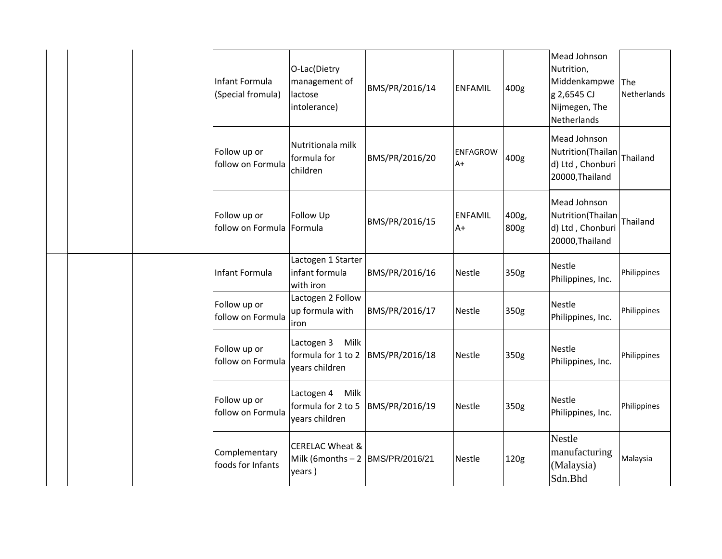| Infant Formula<br>(Special fromula) | O-Lac(Dietry<br>management of<br>lactose<br>intolerance)                   | BMS/PR/2016/14 | <b>ENFAMIL</b>          | 400g          | Mead Johnson<br>Nutrition,<br>Middenkampwe<br>g 2,6545 CJ<br>Nijmegen, The<br>Netherlands | The<br>Netherlands |
|-------------------------------------|----------------------------------------------------------------------------|----------------|-------------------------|---------------|-------------------------------------------------------------------------------------------|--------------------|
| Follow up or<br>follow on Formula   | Nutritionala milk<br>formula for<br>children                               | BMS/PR/2016/20 | <b>ENFAGROW</b><br>$A+$ | 400g          | Mead Johnson<br>Nutrition(Thailan<br>d) Ltd, Chonburi<br>20000, Thailand                  | Thailand           |
| Follow up or<br>follow on Formula   | Follow Up<br>Formula                                                       | BMS/PR/2016/15 | <b>ENFAMIL</b><br>$A+$  | 400g,<br>800g | Mead Johnson<br>Nutrition(Thailan<br>d) Ltd, Chonburi<br>20000, Thailand                  | Thailand           |
| Infant Formula                      | Lactogen 1 Starter<br>infant formula<br>with iron                          | BMS/PR/2016/16 | Nestle                  | 350g          | Nestle<br>Philippines, Inc.                                                               | Philippines        |
| Follow up or<br>follow on Formula   | Lactogen 2 Follow<br>up formula with<br>iron                               | BMS/PR/2016/17 | <b>Nestle</b>           | 350g          | Nestle<br>Philippines, Inc.                                                               | Philippines        |
| Follow up or<br>follow on Formula   | Milk<br>Lactogen 3<br>formula for 1 to 2<br>years children                 | BMS/PR/2016/18 | <b>Nestle</b>           | 350g          | Nestle<br>Philippines, Inc.                                                               | Philippines        |
| Follow up or<br>follow on Formula   | Lactogen 4<br>Milk<br>formula for 2 to 5<br>years children                 | BMS/PR/2016/19 | <b>Nestle</b>           | 350g          | Nestle<br>Philippines, Inc.                                                               | Philippines        |
| Complementary<br>foods for Infants  | <b>CERELAC Wheat &amp;</b><br>Milk (6months $-2$  BMS/PR/2016/21<br>years) |                | Nestle                  | 120g          | <b>Nestle</b><br>manufacturing<br>(Malaysia)<br>Sdn.Bhd                                   | Malaysia           |